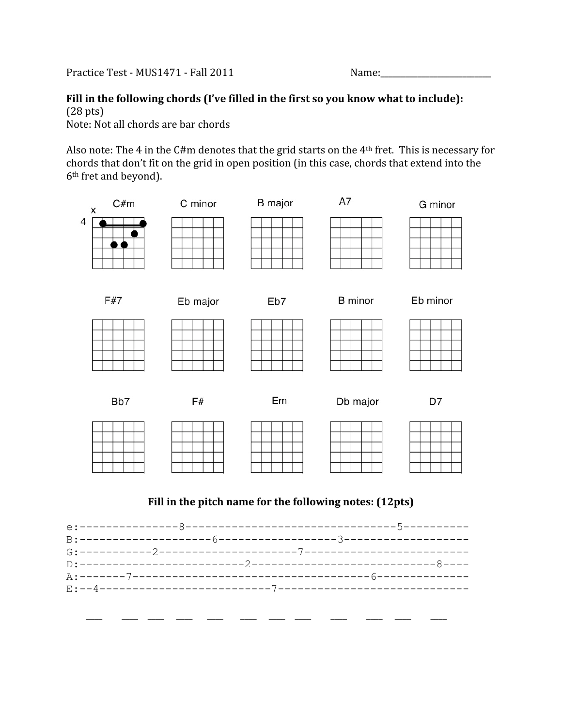Practice Test - MUS1471 - Fall 2011

| lame: |  |  |
|-------|--|--|
|       |  |  |

## Fill in the following chords (I've filled in the first so you know what to include): (28
pts)

Note: Not all chords are bar chords

Also note: The 4 in the C#m denotes that the grid starts on the  $4<sup>th</sup>$  fret. This is necessary for chords
that
don't
fit
on
the
grid
in
open
position
(in
this
case,
chords
that
extend
into
the 6th
fret
and
beyond).



## Fill in the pitch name for the following notes: (12pts)